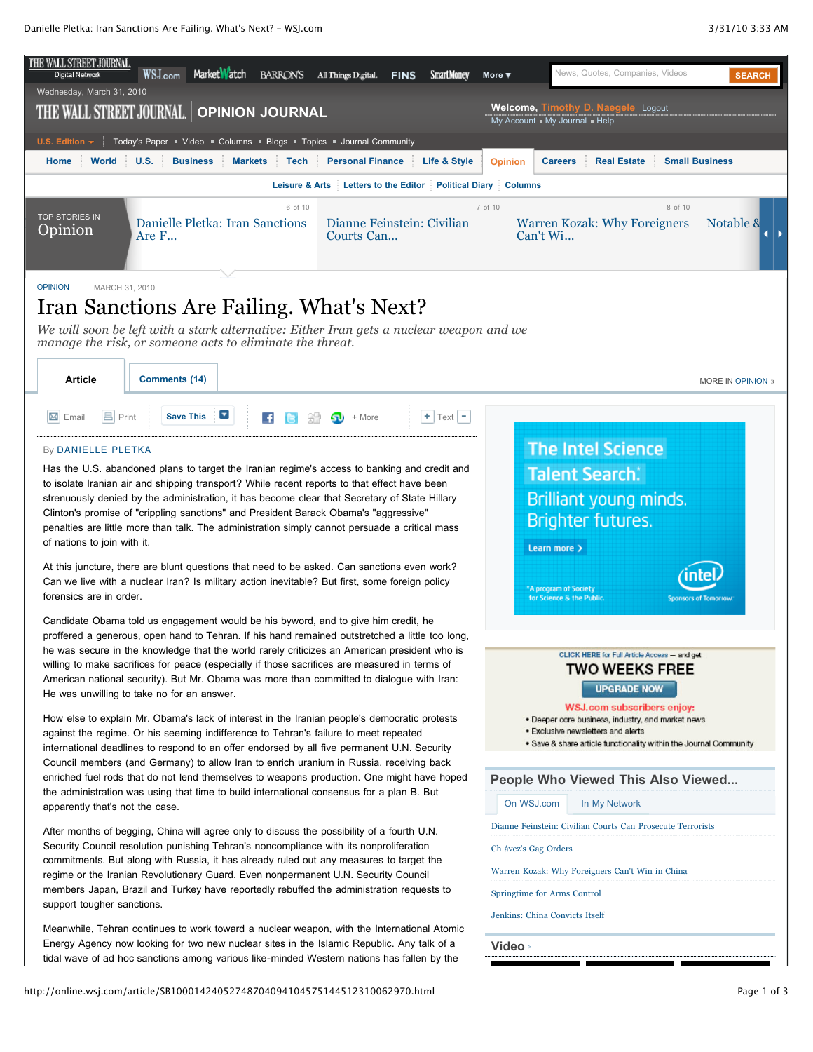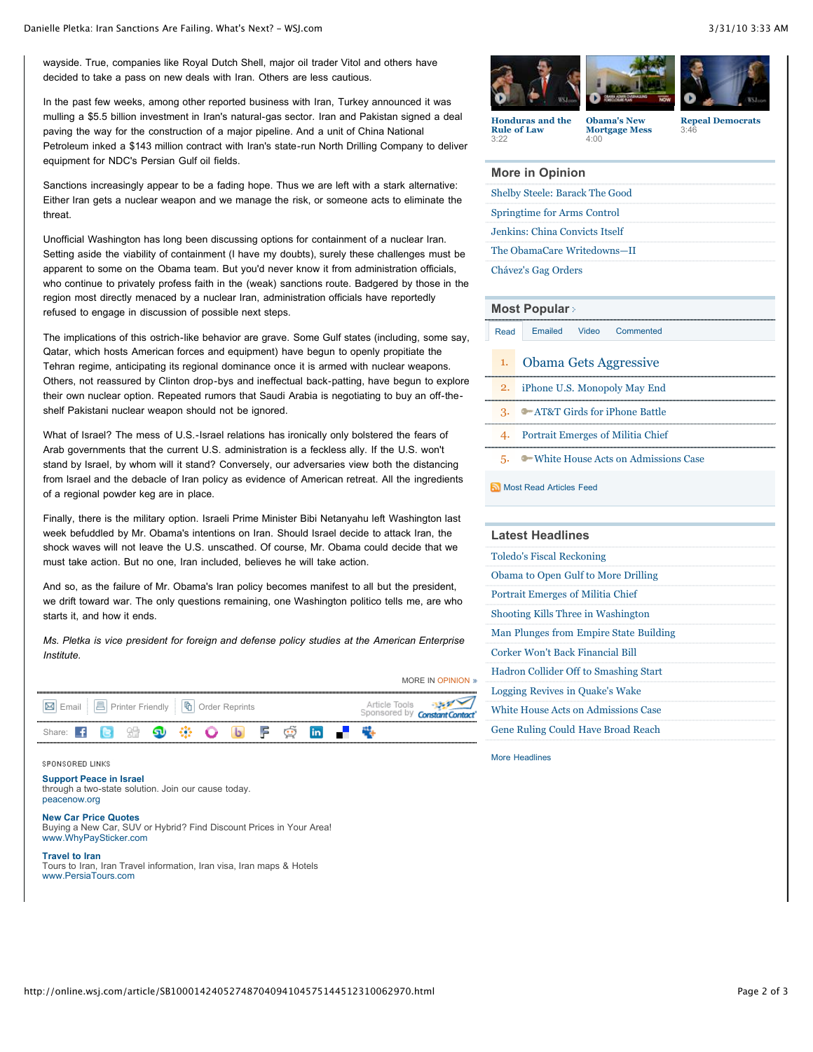wayside. True, companies like Royal Dutch Shell, major oil trader Vitol and others have decided to take a pass on new deals with Iran. Others are less cautious.

In the past few weeks, among other reported business with Iran, Turkey announced it was mulling a \$5.5 billion investment in Iran's natural-gas sector. Iran and Pakistan signed a deal paving the way for the construction of a major pipeline. And a unit of China National Petroleum inked a \$143 million contract with Iran's state-run North Drilling Company to deliver equipment for NDC's Persian Gulf oil fields.

Sanctions increasingly appear to be a fading hope. Thus we are left with a stark alternative: Either Iran gets a nuclear weapon and we manage the risk, or someone acts to eliminate the threat.

Unofficial Washington has long been discussing options for containment of a nuclear Iran. Setting aside the viability of containment (I have my doubts), surely these challenges must be apparent to some on the Obama team. But you'd never know it from administration officials, who continue to privately profess faith in the (weak) sanctions route. Badgered by those in the region most directly menaced by a nuclear Iran, administration officials have reportedly refused to engage in discussion of possible next steps.

The implications of this ostrich-like behavior are grave. Some Gulf states (including, some say, Qatar, which hosts American forces and equipment) have begun to openly propitiate the Tehran regime, anticipating its regional dominance once it is armed with nuclear weapons. Others, not reassured by Clinton drop-bys and ineffectual back-patting, have begun to explore their own nuclear option. Repeated rumors that Saudi Arabia is negotiating to buy an off-theshelf Pakistani nuclear weapon should not be ignored.

What of Israel? The mess of U.S.-Israel relations has ironically only bolstered the fears of Arab governments that the current U.S. administration is a feckless ally. If the U.S. won't stand by Israel, by whom will it stand? Conversely, our adversaries view both the distancing from Israel and the debacle of Iran policy as evidence of American retreat. All the ingredients of a regional powder keg are in place.

Finally, there is the military option. Israeli Prime Minister Bibi Netanyahu left Washington last week befuddled by Mr. Obama's intentions on Iran. Should Israel decide to attack Iran, the shock waves will not leave the U.S. unscathed. Of course, Mr. Obama could decide that we must take action. But no one, Iran included, believes he will take action.

And so, as the failure of Mr. Obama's Iran policy becomes manifest to all but the president, we drift toward war. The only questions remaining, one Washington politico tells me, are who starts it, and how it ends.

*Ms. Pletka is vice president for foreign and defense policy studies at the American Enterprise Institute.*



#### SPONSORED LINKS

**[Support Peace in Israel](http://0.r.msn.com/?ld=2vv0f1TxUUmsi4DsT9rMt4Ez4Uw1yAn0Vpn9+cDH7zOykcG8+8AM9NunocBTR7hTdSJDCP6IrLPnpUDvdJoXu6+Ly3MGL/NU58/G0hjMPTB5+epBP9F5WkMOI/r1+2SCCoqGaG020PZEBAgIDs1j0/aZaxfj4vKnDOIekb3/PKJ8E6zxwYFbE35VBIk7nLzFjsuVVgyGkchcCUHKAOlH6VOw0Pdguh8EhPR3sO4XJG1MMEbv5gCw==)** [through a two-state solution. Join our cause today.](http://0.r.msn.com/?ld=2vv0f1TxUUmsi4DsT9rMt4Ez4Uw1yAn0Vpn9+cDH7zOykcG8+8AM9NunocBTR7hTdSJDCP6IrLPnpUDvdJoXu6+Ly3MGL/NU58/G0hjMPTB5+epBP9F5WkMOI/r1+2SCCoqGaG020PZEBAgIDs1j0/aZaxfj4vKnDOIekb3/PKJ8E6zxwYFbE35VBIk7nLzFjsuVVgyGkchcCUHKAOlH6VOw0Pdguh8EhPR3sO4XJG1MMEbv5gCw==) [peacenow.org](http://0.r.msn.com/?ld=2vv0f1TxUUmsi4DsT9rMt4Ez4Uw1yAn0Vpn9+cDH7zOykcG8+8AM9NunocBTR7hTdSJDCP6IrLPnpUDvdJoXu6+Ly3MGL/NU58/G0hjMPTB5+epBP9F5WkMOI/r1+2SCCoqGaG020PZEBAgIDs1j0/aZaxfj4vKnDOIekb3/PKJ8E6zxwYFbE35VBIk7nLzFjsuVVgyGkchcCUHKAOlH6VOw0Pdguh8EhPR3sO4XJG1MMEbv5gCw==)

### **[New Car Price Quotes](http://0.r.msn.com/?ld=2vi1f0OPQr7hBXmxvXDG+pTK9a7YtB3oOKPDE+mZHlzZEKPPGjWvKwoq5axAsJ19G9digeZQ5BhWuSHnDCCf8tV37pcpuIE55mqh5czUskWBft+Ue9i90zyZLW2KyNO2up/GxACgsrqsXLFIgQ5IBSWkTij/fuA5bjevbC6UDBZ10kTWqMj6KVS5zNwzni5b4iIKTByxpsxvN/Ue6BWZxfYYhAjl7dWc7YFF339SbkAXc503deHbYsQhrmTp1lbbY1ZUhl1t80MzSsrvefoO5tWSpi1WVd7PISnc8x7zM1jplykU/jXln7D4WKiv2UOx8lSkSDCgLXgQKD65g3CzOzITjF3OHjAikutTDo0/rwSE9HpvreL/+WSEApDA4L)**

[Buying a New Car, SUV or Hybrid? Find Discount Prices in Your Area!](http://0.r.msn.com/?ld=2vi1f0OPQr7hBXmxvXDG+pTK9a7YtB3oOKPDE+mZHlzZEKPPGjWvKwoq5axAsJ19G9digeZQ5BhWuSHnDCCf8tV37pcpuIE55mqh5czUskWBft+Ue9i90zyZLW2KyNO2up/GxACgsrqsXLFIgQ5IBSWkTij/fuA5bjevbC6UDBZ10kTWqMj6KVS5zNwzni5b4iIKTByxpsxvN/Ue6BWZxfYYhAjl7dWc7YFF339SbkAXc503deHbYsQhrmTp1lbbY1ZUhl1t80MzSsrvefoO5tWSpi1WVd7PISnc8x7zM1jplykU/jXln7D4WKiv2UOx8lSkSDCgLXgQKD65g3CzOzITjF3OHjAikutTDo0/rwSE9HpvreL/+WSEApDA4L) [www.WhyPaySticker.com](http://0.r.msn.com/?ld=2vi1f0OPQr7hBXmxvXDG+pTK9a7YtB3oOKPDE+mZHlzZEKPPGjWvKwoq5axAsJ19G9digeZQ5BhWuSHnDCCf8tV37pcpuIE55mqh5czUskWBft+Ue9i90zyZLW2KyNO2up/GxACgsrqsXLFIgQ5IBSWkTij/fuA5bjevbC6UDBZ10kTWqMj6KVS5zNwzni5b4iIKTByxpsxvN/Ue6BWZxfYYhAjl7dWc7YFF339SbkAXc503deHbYsQhrmTp1lbbY1ZUhl1t80MzSsrvefoO5tWSpi1WVd7PISnc8x7zM1jplykU/jXln7D4WKiv2UOx8lSkSDCgLXgQKD65g3CzOzITjF3OHjAikutTDo0/rwSE9HpvreL/+WSEApDA4L)

### **[Travel to Iran](http://0.r.msn.com/?ld=2vUqoI6rIw21PlhTmRALYL0PyoWWCvFltUPXQzmV/Mxr5A5X5yXrgz4ItY/DSsX8PRihm0khON0gO6mQ+bEhzASsNxDhOO/Hs9UlNF/jk7YtLcVLgskALXRWDUv3+vWl/cOxrnKK6EoC78FYlTRBLfQ5SKhiY1wG073GJ3cb1qmvXH0mWPaLTkvW8mjVtew8UAWKJga8sMfsc4vNhtWI99aLzJ6NGIWU3q7p5lVfBIT0fG9zfxiXhHi4WzJgs=)**

[Tours to Iran, Iran Travel information, Iran visa, Iran maps & Hotels](http://0.r.msn.com/?ld=2vUqoI6rIw21PlhTmRALYL0PyoWWCvFltUPXQzmV/Mxr5A5X5yXrgz4ItY/DSsX8PRihm0khON0gO6mQ+bEhzASsNxDhOO/Hs9UlNF/jk7YtLcVLgskALXRWDUv3+vWl/cOxrnKK6EoC78FYlTRBLfQ5SKhiY1wG073GJ3cb1qmvXH0mWPaLTkvW8mjVtew8UAWKJga8sMfsc4vNhtWI99aLzJ6NGIWU3q7p5lVfBIT0fG9zfxiXhHi4WzJgs=) [www.PersiaTours.com](http://0.r.msn.com/?ld=2vUqoI6rIw21PlhTmRALYL0PyoWWCvFltUPXQzmV/Mxr5A5X5yXrgz4ItY/DSsX8PRihm0khON0gO6mQ+bEhzASsNxDhOO/Hs9UlNF/jk7YtLcVLgskALXRWDUv3+vWl/cOxrnKK6EoC78FYlTRBLfQ5SKhiY1wG073GJ3cb1qmvXH0mWPaLTkvW8mjVtew8UAWKJga8sMfsc4vNhtWI99aLzJ6NGIWU3q7p5lVfBIT0fG9zfxiXhHi4WzJgs=)



**[Honduras and the](http://online.wsj.com/video/honduras-and-the-rule-of-law/8CE8953F-0A2A-428E-9710-CB81A1D74DA4.html) Rule of Law** 3:22

**Obama's New [Mortgage Mess](http://online.wsj.com/video/obama-new-mortgage-mess/32CB5122-8321-4F64-8B94-36C17B076A15.html)**

4:00

**[Repeal Democrats](http://online.wsj.com/video/repeal-democrats/0B1D28DE-CBC7-412E-B474-4C5AB17CE628.html)** 3:46

| More in Opinion                       |
|---------------------------------------|
| <b>Shelby Steele: Barack The Good</b> |
| Springtime for Arms Control           |
| Jenkins: China Convicts Itself        |
| The ObamaCare Writedowns-II           |
| Chávez's Gag Orders                   |
|                                       |

### **[Most Popular](http://online.wsj.com/public/page/most_popular.html)**

| <b>Obama Gets Aggressive</b> |
|------------------------------|

2. [iPhone U.S. Monopoly May End](http://online.wsj.com/article/SB10001424052702304370304575152242601774892.html?mod=WSJ_hp_mostpop_read)

[Read](http://online.wsj.com/article/SB10001424052748704094104575144512310062970.html#mostPopular_mostRead) [Emailed](http://online.wsj.com/article/SB10001424052748704094104575144512310062970.html#mostPopular_mostEmailed) [Video](http://online.wsj.com/article/SB10001424052748704094104575144512310062970.html#mostPopular_mostPopularVideo) [Commented](http://online.wsj.com/article/SB10001424052748704094104575144512310062970.html#mostPopular_mostCommented)

3. [AT&T Girds for iPhone Battle](http://online.wsj.com/article/SB10001424052702304739104575154072784198614.html?mod=WSJ_hp_mostpop_read)

- 4. [Portrait Emerges of Militia Chief](http://online.wsj.com/article/SB10001424052702304739104575154041322442962.html?mod=WSJ_hp_mostpop_read)
- 5. [White House Acts on Admissions Case](http://online.wsj.com/article/SB10001424052702303601504575153502859094306.html?mod=WSJ_hp_mostpop_read)

### [Most Read Articles Feed](http://online.wsj.com/rss?mod=fpp_rss)

| <b>Latest Headlines</b>                    |
|--------------------------------------------|
| <b>Toledo's Fiscal Reckoning</b>           |
| Obama to Open Gulf to More Drilling        |
| Portrait Emerges of Militia Chief          |
| Shooting Kills Three in Washington         |
| Man Plunges from Empire State Building     |
| Corker Won't Back Financial Bill           |
| Hadron Collider Off to Smashing Start      |
| Logging Revives in Quake's Wake            |
| <b>White House Acts on Admissions Case</b> |
| Gene Ruling Could Have Broad Reach         |

[More Headlines](http://online.wsj.com/home/us)